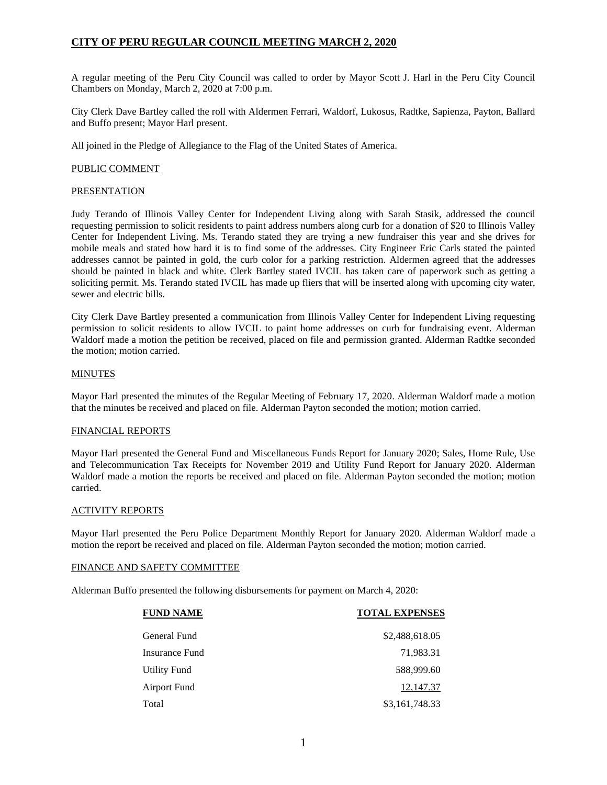A regular meeting of the Peru City Council was called to order by Mayor Scott J. Harl in the Peru City Council Chambers on Monday, March 2, 2020 at 7:00 p.m.

City Clerk Dave Bartley called the roll with Aldermen Ferrari, Waldorf, Lukosus, Radtke, Sapienza, Payton, Ballard and Buffo present; Mayor Harl present.

All joined in the Pledge of Allegiance to the Flag of the United States of America.

# PUBLIC COMMENT

## **PRESENTATION**

Judy Terando of Illinois Valley Center for Independent Living along with Sarah Stasik, addressed the council requesting permission to solicit residents to paint address numbers along curb for a donation of \$20 to Illinois Valley Center for Independent Living. Ms. Terando stated they are trying a new fundraiser this year and she drives for mobile meals and stated how hard it is to find some of the addresses. City Engineer Eric Carls stated the painted addresses cannot be painted in gold, the curb color for a parking restriction. Aldermen agreed that the addresses should be painted in black and white. Clerk Bartley stated IVCIL has taken care of paperwork such as getting a soliciting permit. Ms. Terando stated IVCIL has made up fliers that will be inserted along with upcoming city water, sewer and electric bills.

City Clerk Dave Bartley presented a communication from Illinois Valley Center for Independent Living requesting permission to solicit residents to allow IVCIL to paint home addresses on curb for fundraising event. Alderman Waldorf made a motion the petition be received, placed on file and permission granted. Alderman Radtke seconded the motion; motion carried.

## MINUTES

Mayor Harl presented the minutes of the Regular Meeting of February 17, 2020. Alderman Waldorf made a motion that the minutes be received and placed on file. Alderman Payton seconded the motion; motion carried.

# FINANCIAL REPORTS

Mayor Harl presented the General Fund and Miscellaneous Funds Report for January 2020; Sales, Home Rule, Use and Telecommunication Tax Receipts for November 2019 and Utility Fund Report for January 2020. Alderman Waldorf made a motion the reports be received and placed on file. Alderman Payton seconded the motion; motion carried.

### ACTIVITY REPORTS

Mayor Harl presented the Peru Police Department Monthly Report for January 2020. Alderman Waldorf made a motion the report be received and placed on file. Alderman Payton seconded the motion; motion carried.

### FINANCE AND SAFETY COMMITTEE

Alderman Buffo presented the following disbursements for payment on March 4, 2020:

| <b>FUND NAME</b>    | <b>TOTAL EXPENSES</b> |
|---------------------|-----------------------|
| General Fund        | \$2,488,618.05        |
| Insurance Fund      | 71,983.31             |
| <b>Utility Fund</b> | 588,999.60            |
| <b>Airport Fund</b> | 12,147.37             |
| Total               | \$3,161,748.33        |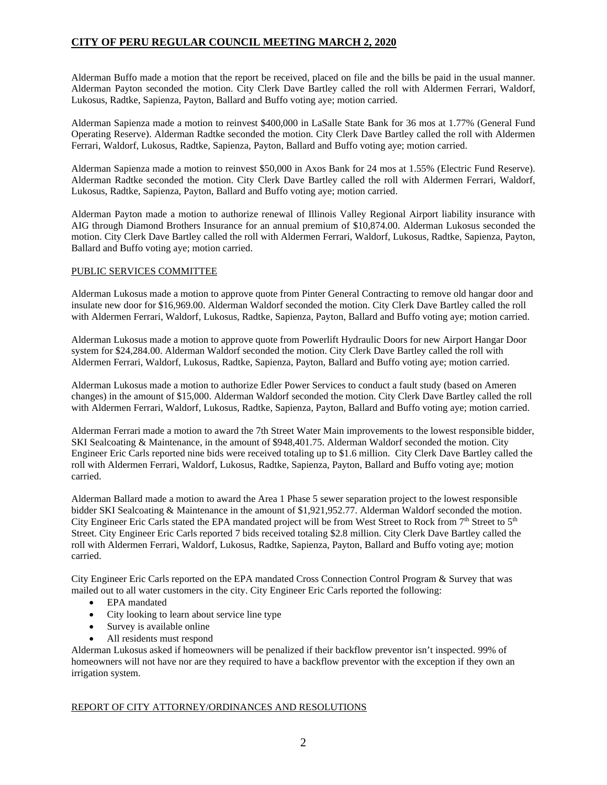Alderman Buffo made a motion that the report be received, placed on file and the bills be paid in the usual manner. Alderman Payton seconded the motion. City Clerk Dave Bartley called the roll with Aldermen Ferrari, Waldorf, Lukosus, Radtke, Sapienza, Payton, Ballard and Buffo voting aye; motion carried.

Alderman Sapienza made a motion to reinvest \$400,000 in LaSalle State Bank for 36 mos at 1.77% (General Fund Operating Reserve). Alderman Radtke seconded the motion. City Clerk Dave Bartley called the roll with Aldermen Ferrari, Waldorf, Lukosus, Radtke, Sapienza, Payton, Ballard and Buffo voting aye; motion carried.

Alderman Sapienza made a motion to reinvest \$50,000 in Axos Bank for 24 mos at 1.55% (Electric Fund Reserve). Alderman Radtke seconded the motion. City Clerk Dave Bartley called the roll with Aldermen Ferrari, Waldorf, Lukosus, Radtke, Sapienza, Payton, Ballard and Buffo voting aye; motion carried.

Alderman Payton made a motion to authorize renewal of Illinois Valley Regional Airport liability insurance with AIG through Diamond Brothers Insurance for an annual premium of \$10,874.00. Alderman Lukosus seconded the motion. City Clerk Dave Bartley called the roll with Aldermen Ferrari, Waldorf, Lukosus, Radtke, Sapienza, Payton, Ballard and Buffo voting aye; motion carried.

# PUBLIC SERVICES COMMITTEE

Alderman Lukosus made a motion to approve quote from Pinter General Contracting to remove old hangar door and insulate new door for \$16,969.00. Alderman Waldorf seconded the motion. City Clerk Dave Bartley called the roll with Aldermen Ferrari, Waldorf, Lukosus, Radtke, Sapienza, Payton, Ballard and Buffo voting aye; motion carried.

Alderman Lukosus made a motion to approve quote from Powerlift Hydraulic Doors for new Airport Hangar Door system for \$24,284.00. Alderman Waldorf seconded the motion. City Clerk Dave Bartley called the roll with Aldermen Ferrari, Waldorf, Lukosus, Radtke, Sapienza, Payton, Ballard and Buffo voting aye; motion carried.

Alderman Lukosus made a motion to authorize Edler Power Services to conduct a fault study (based on Ameren changes) in the amount of \$15,000. Alderman Waldorf seconded the motion. City Clerk Dave Bartley called the roll with Aldermen Ferrari, Waldorf, Lukosus, Radtke, Sapienza, Payton, Ballard and Buffo voting aye; motion carried.

Alderman Ferrari made a motion to award the 7th Street Water Main improvements to the lowest responsible bidder, SKI Sealcoating & Maintenance, in the amount of \$948,401.75. Alderman Waldorf seconded the motion. City Engineer Eric Carls reported nine bids were received totaling up to \$1.6 million. City Clerk Dave Bartley called the roll with Aldermen Ferrari, Waldorf, Lukosus, Radtke, Sapienza, Payton, Ballard and Buffo voting aye; motion carried.

Alderman Ballard made a motion to award the Area 1 Phase 5 sewer separation project to the lowest responsible bidder SKI Sealcoating & Maintenance in the amount of \$1,921,952.77. Alderman Waldorf seconded the motion. City Engineer Eric Carls stated the EPA mandated project will be from West Street to Rock from  $7<sup>th</sup>$  Street to  $5<sup>th</sup>$ Street. City Engineer Eric Carls reported 7 bids received totaling \$2.8 million. City Clerk Dave Bartley called the roll with Aldermen Ferrari, Waldorf, Lukosus, Radtke, Sapienza, Payton, Ballard and Buffo voting aye; motion carried.

City Engineer Eric Carls reported on the EPA mandated Cross Connection Control Program & Survey that was mailed out to all water customers in the city. City Engineer Eric Carls reported the following:

- EPA mandated
- City looking to learn about service line type
- Survey is available online
- All residents must respond

Alderman Lukosus asked if homeowners will be penalized if their backflow preventor isn't inspected. 99% of homeowners will not have nor are they required to have a backflow preventor with the exception if they own an irrigation system.

# REPORT OF CITY ATTORNEY/ORDINANCES AND RESOLUTIONS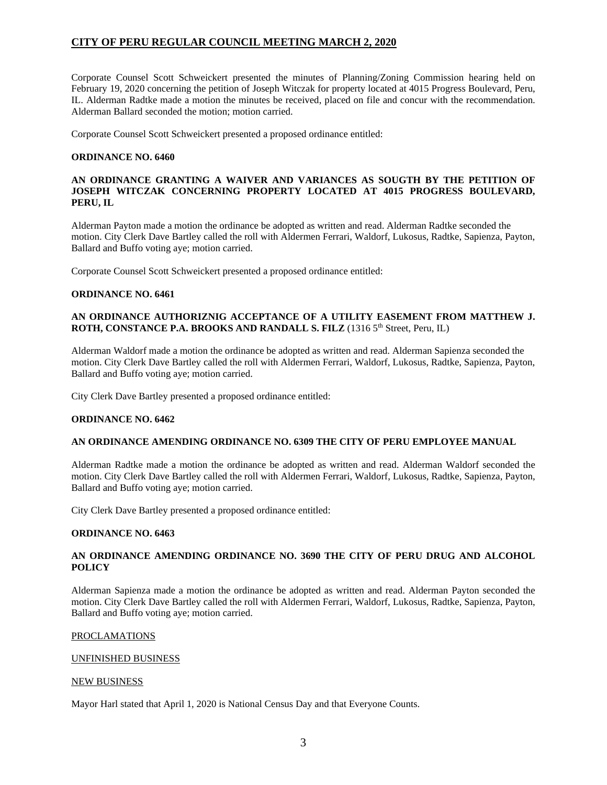Corporate Counsel Scott Schweickert presented the minutes of Planning/Zoning Commission hearing held on February 19, 2020 concerning the petition of Joseph Witczak for property located at 4015 Progress Boulevard, Peru, IL. Alderman Radtke made a motion the minutes be received, placed on file and concur with the recommendation. Alderman Ballard seconded the motion; motion carried.

Corporate Counsel Scott Schweickert presented a proposed ordinance entitled:

## **ORDINANCE NO. 6460**

# **AN ORDINANCE GRANTING A WAIVER AND VARIANCES AS SOUGTH BY THE PETITION OF JOSEPH WITCZAK CONCERNING PROPERTY LOCATED AT 4015 PROGRESS BOULEVARD, PERU, IL**

Alderman Payton made a motion the ordinance be adopted as written and read. Alderman Radtke seconded the motion. City Clerk Dave Bartley called the roll with Aldermen Ferrari, Waldorf, Lukosus, Radtke, Sapienza, Payton, Ballard and Buffo voting aye; motion carried.

Corporate Counsel Scott Schweickert presented a proposed ordinance entitled:

### **ORDINANCE NO. 6461**

## **AN ORDINANCE AUTHORIZNIG ACCEPTANCE OF A UTILITY EASEMENT FROM MATTHEW J. ROTH, CONSTANCE P.A. BROOKS AND RANDALL S. FILZ** (1316 5th Street, Peru, IL)

Alderman Waldorf made a motion the ordinance be adopted as written and read. Alderman Sapienza seconded the motion. City Clerk Dave Bartley called the roll with Aldermen Ferrari, Waldorf, Lukosus, Radtke, Sapienza, Payton, Ballard and Buffo voting aye; motion carried.

City Clerk Dave Bartley presented a proposed ordinance entitled:

### **ORDINANCE NO. 6462**

### **AN ORDINANCE AMENDING ORDINANCE NO. 6309 THE CITY OF PERU EMPLOYEE MANUAL**

Alderman Radtke made a motion the ordinance be adopted as written and read. Alderman Waldorf seconded the motion. City Clerk Dave Bartley called the roll with Aldermen Ferrari, Waldorf, Lukosus, Radtke, Sapienza, Payton, Ballard and Buffo voting aye; motion carried.

City Clerk Dave Bartley presented a proposed ordinance entitled:

### **ORDINANCE NO. 6463**

# **AN ORDINANCE AMENDING ORDINANCE NO. 3690 THE CITY OF PERU DRUG AND ALCOHOL POLICY**

Alderman Sapienza made a motion the ordinance be adopted as written and read. Alderman Payton seconded the motion. City Clerk Dave Bartley called the roll with Aldermen Ferrari, Waldorf, Lukosus, Radtke, Sapienza, Payton, Ballard and Buffo voting aye; motion carried.

### PROCLAMATIONS

### UNFINISHED BUSINESS

### NEW BUSINESS

Mayor Harl stated that April 1, 2020 is National Census Day and that Everyone Counts.